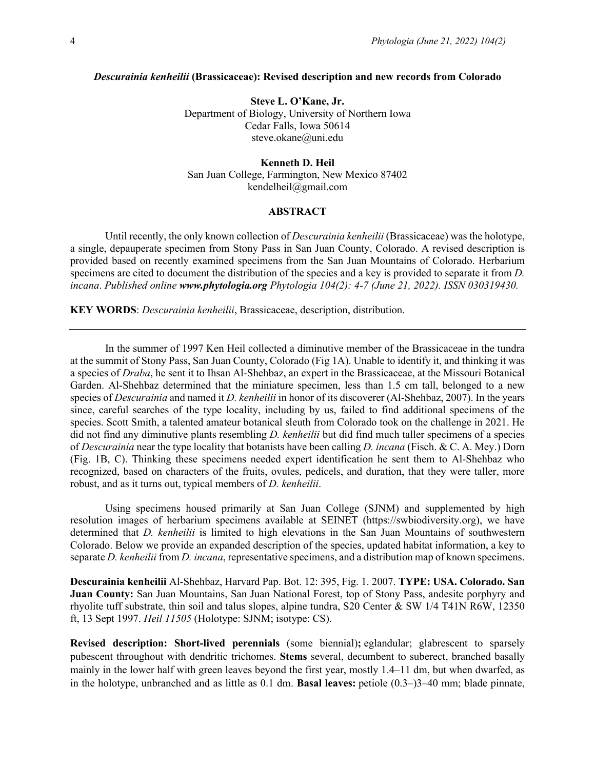#### *Descurainia kenheilii* **(Brassicaceae): Revised description and new records from Colorado**

**Steve L. O'Kane, Jr.** Department of Biology, University of Northern Iowa Cedar Falls, Iowa 50614 steve.okane@uni.edu

### **Kenneth D. Heil** San Juan College, Farmington, New Mexico 87402 kendelheil@gmail.com

### **ABSTRACT**

Until recently, the only known collection of *Descurainia kenheilii* (Brassicaceae) was the holotype, a single, depauperate specimen from Stony Pass in San Juan County, Colorado. A revised description is provided based on recently examined specimens from the San Juan Mountains of Colorado. Herbarium specimens are cited to document the distribution of the species and a key is provided to separate it from *D. incana*. *Published online www.phytologia.org Phytologia 104(2): 4-7 (June 21, 2022). ISSN 030319430.*

**KEY WORDS**: *Descurainia kenheilii*, Brassicaceae, description, distribution.

In the summer of 1997 Ken Heil collected a diminutive member of the Brassicaceae in the tundra at the summit of Stony Pass, San Juan County, Colorado (Fig 1A). Unable to identify it, and thinking it was a species of *Draba*, he sent it to Ihsan Al-Shehbaz, an expert in the Brassicaceae, at the Missouri Botanical Garden. Al-Shehbaz determined that the miniature specimen, less than 1.5 cm tall, belonged to a new species of *Descurainia* and named it *D. kenheilii* in honor of its discoverer (Al-Shehbaz, 2007). In the years since, careful searches of the type locality, including by us, failed to find additional specimens of the species. Scott Smith, a talented amateur botanical sleuth from Colorado took on the challenge in 2021. He did not find any diminutive plants resembling *D. kenheilii* but did find much taller specimens of a species of *Descurainia* near the type locality that botanists have been calling *D. incana* (Fisch. & C. A. Mey.) Dorn (Fig. 1B, C). Thinking these specimens needed expert identification he sent them to Al-Shehbaz who recognized, based on characters of the fruits, ovules, pedicels, and duration, that they were taller, more robust, and as it turns out, typical members of *D. kenheilii*.

Using specimens housed primarily at San Juan College (SJNM) and supplemented by high resolution images of herbarium specimens available at SEINET (https://swbiodiversity.org), we have determined that *D. kenheilii* is limited to high elevations in the San Juan Mountains of southwestern Colorado. Below we provide an expanded description of the species, updated habitat information, a key to separate *D. kenheilii* from *D. incana*, representative specimens, and a distribution map of known specimens.

**Descurainia kenheilii** Al-Shehbaz, Harvard Pap. Bot. 12: 395, Fig. 1. 2007. **TYPE: USA. Colorado. San Juan County:** San Juan Mountains, San Juan National Forest, top of Stony Pass, andesite porphyry and rhyolite tuff substrate, thin soil and talus slopes, alpine tundra, S20 Center & SW 1/4 T41N R6W, 12350 ft, 13 Sept 1997. *Heil 11505* (Holotype: SJNM; isotype: CS).

**Revised description: Short-lived perennials** (some biennial)**;** eglandular; glabrescent to sparsely pubescent throughout with dendritic trichomes. **Stems** several, decumbent to suberect, branched basally mainly in the lower half with green leaves beyond the first year, mostly 1.4–11 dm, but when dwarfed, as in the holotype, unbranched and as little as 0.1 dm. **Basal leaves:** petiole (0.3–)3–40 mm; blade pinnate,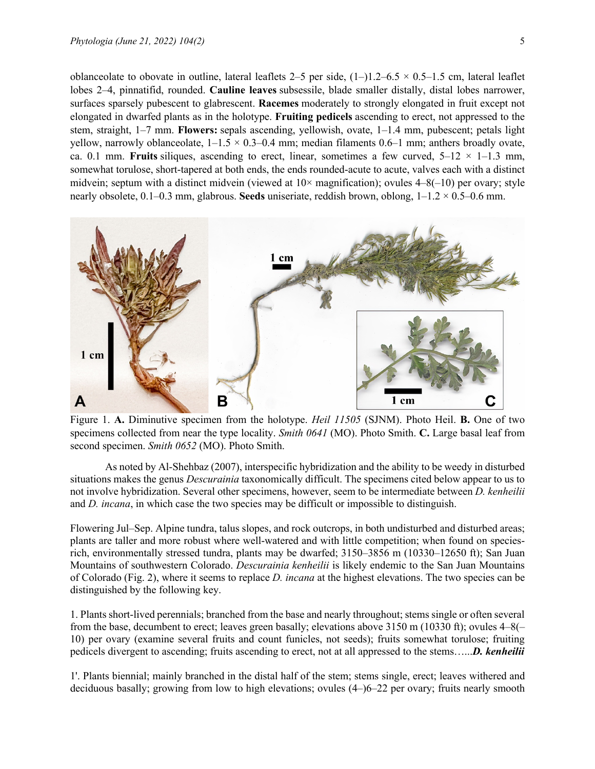oblanceolate to obovate in outline, lateral leaflets 2–5 per side,  $(1-)1.2-6.5 \times 0.5-1.5$  cm, lateral leaflet lobes 2–4, pinnatifid, rounded. **Cauline leaves** subsessile, blade smaller distally, distal lobes narrower, surfaces sparsely pubescent to glabrescent. **Racemes** moderately to strongly elongated in fruit except not elongated in dwarfed plants as in the holotype. **Fruiting pedicels** ascending to erect, not appressed to the stem, straight, 1–7 mm. **Flowers:** sepals ascending, yellowish, ovate, 1–1.4 mm, pubescent; petals light yellow, narrowly oblanceolate,  $1-1.5 \times 0.3-0.4$  mm; median filaments 0.6–1 mm; anthers broadly ovate, ca. 0.1 mm. **Fruits** siliques, ascending to erect, linear, sometimes a few curved,  $5-12 \times 1-1.3$  mm, somewhat torulose, short-tapered at both ends, the ends rounded-acute to acute, valves each with a distinct midvein; septum with a distinct midvein (viewed at  $10\times$  magnification); ovules  $4-8(-10)$  per ovary; style nearly obsolete, 0.1–0.3 mm, glabrous. **Seeds** uniseriate, reddish brown, oblong, 1–1.2 × 0.5–0.6 mm.



Figure 1. **A.** Diminutive specimen from the holotype. *Heil 11505* (SJNM). Photo Heil. **B.** One of two specimens collected from near the type locality. *Smith 0641* (MO). Photo Smith. **C.** Large basal leaf from second specimen. *Smith 0652* (MO). Photo Smith.

As noted by Al-Shehbaz (2007), interspecific hybridization and the ability to be weedy in disturbed situations makes the genus *Descurainia* taxonomically difficult. The specimens cited below appear to us to not involve hybridization. Several other specimens, however, seem to be intermediate between *D. kenheilii*  and *D. incana*, in which case the two species may be difficult or impossible to distinguish.

Flowering Jul–Sep. Alpine tundra, talus slopes, and rock outcrops, in both undisturbed and disturbed areas; plants are taller and more robust where well-watered and with little competition; when found on speciesrich, environmentally stressed tundra, plants may be dwarfed; 3150–3856 m (10330–12650 ft); San Juan Mountains of southwestern Colorado. *Descurainia kenheilii* is likely endemic to the San Juan Mountains of Colorado (Fig. 2), where it seems to replace *D. incana* at the highest elevations. The two species can be distinguished by the following key.

1. Plants short-lived perennials; branched from the base and nearly throughout; stems single or often several from the base, decumbent to erect; leaves green basally; elevations above 3150 m (10330 ft); ovules 4–8(– 10) per ovary (examine several fruits and count funicles, not seeds); fruits somewhat torulose; fruiting pedicels divergent to ascending; fruits ascending to erect, not at all appressed to the stems…...*D. kenheilii*

1'. Plants biennial; mainly branched in the distal half of the stem; stems single, erect; leaves withered and deciduous basally; growing from low to high elevations; ovules (4–)6–22 per ovary; fruits nearly smooth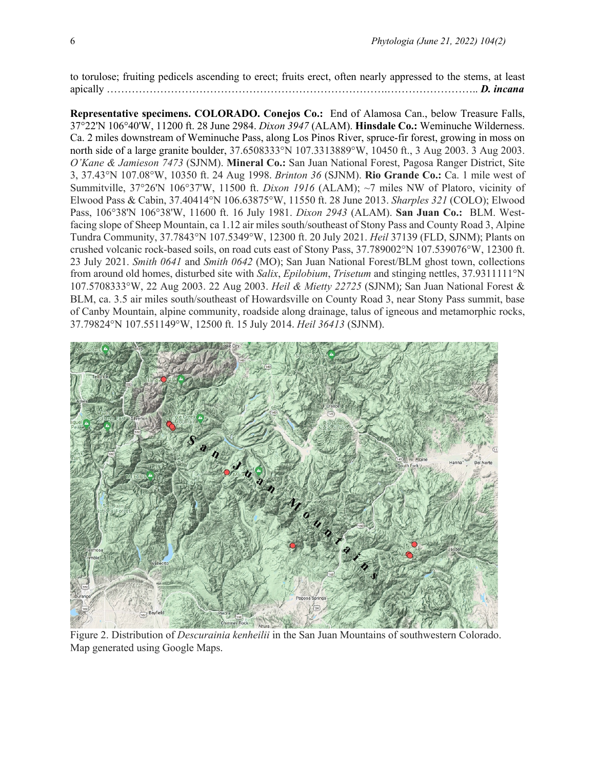to torulose; fruiting pedicels ascending to erect; fruits erect, often nearly appressed to the stems, at least apically …………………………………………………………………….…………………….. *D. incana*

**Representative specimens. COLORADO. Conejos Co.:** End of Alamosa Can., below Treasure Falls, 37°22'N 106°40'W, 11200 ft. 28 June 2984. *Dixon 3947* (ALAM). **Hinsdale Co.:** Weminuche Wilderness. Ca. 2 miles downstream of Weminuche Pass, along Los Pinos River, spruce-fir forest, growing in moss on north side of a large granite boulder, 37.6508333°N 107.3313889°W, 10450 ft., 3 Aug 2003. 3 Aug 2003. *O'Kane & Jamieson 7473* (SJNM). **Mineral Co.:** San Juan National Forest, Pagosa Ranger District, Site 3, 37.43°N 107.08°W, 10350 ft. 24 Aug 1998. *Brinton 36* (SJNM). **Rio Grande Co.:** Ca. 1 mile west of Summitville, 37°26'N 106°37'W, 11500 ft. *Dixon 1916* (ALAM); ~7 miles NW of Platoro, vicinity of Elwood Pass & Cabin, 37.40414°N 106.63875°W, 11550 ft. 28 June 2013. *Sharples 321* (COLO); Elwood Pass, 106°38'N 106°38'W, 11600 ft. 16 July 1981. *Dixon 2943* (ALAM). **San Juan Co.:** BLM. Westfacing slope of Sheep Mountain, ca 1.12 air miles south/southeast of Stony Pass and County Road 3, Alpine Tundra Community, 37.7843°N 107.5349°W, 12300 ft. 20 July 2021. *Heil* 37139 (FLD, SJNM); Plants on crushed volcanic rock-based soils, on road cuts east of Stony Pass, 37.789002°N 107.539076°W, 12300 ft. 23 July 2021. *Smith 0641* and *Smith 0642* (MO); San Juan National Forest/BLM ghost town, collections from around old homes, disturbed site with *Salix*, *Epilobium*, *Trisetum* and stinging nettles, 37.9311111°N 107.5708333°W, 22 Aug 2003. 22 Aug 2003. *Heil & Mietty 22725* (SJNM); San Juan National Forest & BLM, ca. 3.5 air miles south/southeast of Howardsville on County Road 3, near Stony Pass summit, base of Canby Mountain, alpine community, roadside along drainage, talus of igneous and metamorphic rocks, 37.79824°N 107.551149°W, 12500 ft. 15 July 2014. *Heil 36413* (SJNM).



Figure 2. Distribution of *Descurainia kenheilii* in the San Juan Mountains of southwestern Colorado. Map generated using Google Maps.